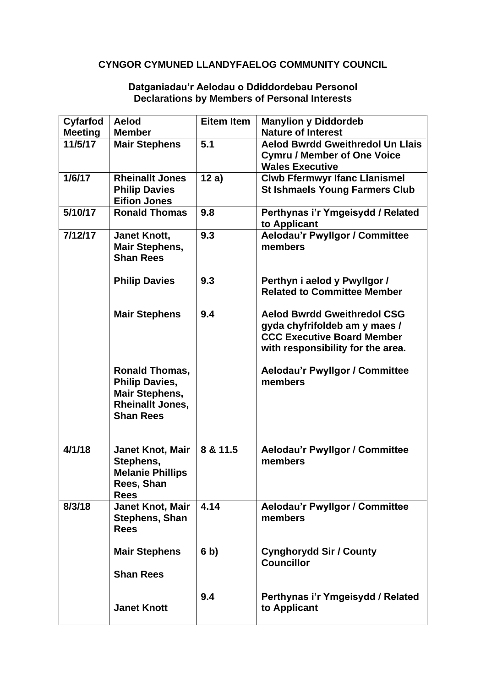## **CYNGOR CYMUNED LLANDYFAELOG COMMUNITY COUNCIL**

## **Cyfarfod Meeting Aelod Member Eitem Item Manylion y Diddordeb Nature of Interest 11/5/17 Mair Stephens 5.1 Aelod Bwrdd Gweithredol Un Llais Cymru / Member of One Voice Wales Executive 1/6/17 Rheinallt Jones Philip Davies Eifion Jones 12 a) Clwb Ffermwyr Ifanc Llanismel St Ishmaels Young Farmers Club 5/10/17 Ronald Thomas 9.8 Perthynas i'r Ymgeisydd / Related to Applicant 7/12/17 Janet Knott, Mair Stephens, Shan Rees Philip Davies Mair Stephens Ronald Thomas, Philip Davies, Mair Stephens, Rheinallt Jones, Shan Rees 9.3 9.3 9.4 Aelodau'r Pwyllgor / Committee members Perthyn i aelod y Pwyllgor / Related to Committee Member Aelod Bwrdd Gweithredol CSG gyda chyfrifoldeb am y maes / CCC Executive Board Member with responsibility for the area. Aelodau'r Pwyllgor / Committee members 4/1/18 Janet Knot, Mair Stephens, Melanie Phillips Rees, Shan Rees 8 & 11.5 Aelodau'r Pwyllgor / Committee members 8/3/18 Janet Knot, Mair Stephens, Shan Rees Mair Stephens Shan Rees Janet Knott 4.14 6 b) 9.4 Aelodau'r Pwyllgor / Committee members Cynghorydd Sir / County Councillor Perthynas i'r Ymgeisydd / Related to Applicant**

## **Datganiadau'r Aelodau o Ddiddordebau Personol Declarations by Members of Personal Interests**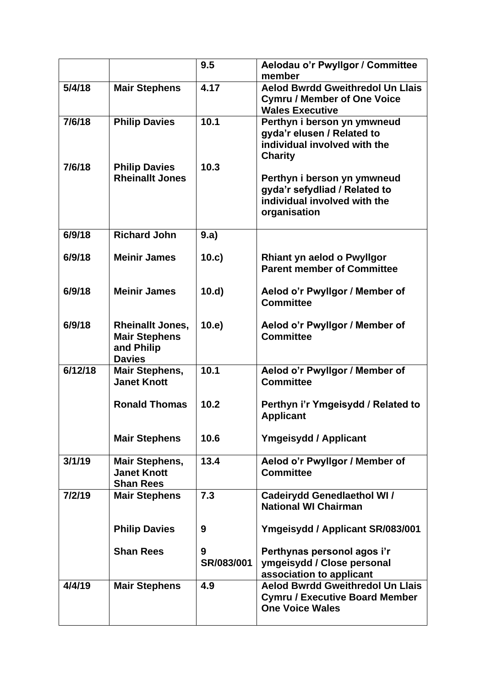|         |                                                                                | 9.5             | Aelodau o'r Pwyllgor / Committee<br>member                                                                   |
|---------|--------------------------------------------------------------------------------|-----------------|--------------------------------------------------------------------------------------------------------------|
| 5/4/18  | <b>Mair Stephens</b>                                                           | 4.17            | <b>Aelod Bwrdd Gweithredol Un Llais</b><br><b>Cymru / Member of One Voice</b><br><b>Wales Executive</b>      |
| 7/6/18  | <b>Philip Davies</b>                                                           | 10.1            | Perthyn i berson yn ymwneud<br>gyda'r elusen / Related to<br>individual involved with the<br><b>Charity</b>  |
| 7/6/18  | <b>Philip Davies</b><br><b>Rheinallt Jones</b>                                 | 10.3            | Perthyn i berson yn ymwneud<br>gyda'r sefydliad / Related to<br>individual involved with the<br>organisation |
| 6/9/18  | <b>Richard John</b>                                                            | 9.a)            |                                                                                                              |
| 6/9/18  | <b>Meinir James</b>                                                            | 10.c)           | <b>Rhiant yn aelod o Pwyllgor</b><br><b>Parent member of Committee</b>                                       |
| 6/9/18  | <b>Meinir James</b>                                                            | 10.d            | Aelod o'r Pwyllgor / Member of<br><b>Committee</b>                                                           |
| 6/9/18  | <b>Rheinallt Jones,</b><br><b>Mair Stephens</b><br>and Philip<br><b>Davies</b> | 10.e)           | Aelod o'r Pwyllgor / Member of<br><b>Committee</b>                                                           |
| 6/12/18 | <b>Mair Stephens,</b><br><b>Janet Knott</b>                                    | 10.1            | Aelod o'r Pwyllgor / Member of<br><b>Committee</b>                                                           |
|         | <b>Ronald Thomas</b>                                                           | 10.2            | Perthyn i'r Ymgeisydd / Related to<br><b>Applicant</b>                                                       |
|         | <b>Mair Stephens</b>                                                           | 10.6            | <b>Ymgeisydd / Applicant</b>                                                                                 |
| 3/1/19  | <b>Mair Stephens,</b><br><b>Janet Knott</b><br><b>Shan Rees</b>                | 13.4            | Aelod o'r Pwyllgor / Member of<br><b>Committee</b>                                                           |
| 7/2/19  | <b>Mair Stephens</b>                                                           | 7.3             | <b>Cadeirydd Genedlaethol WI/</b><br><b>National WI Chairman</b>                                             |
|         | <b>Philip Davies</b>                                                           | 9               | Ymgeisydd / Applicant SR/083/001                                                                             |
|         | <b>Shan Rees</b>                                                               | 9<br>SR/083/001 | Perthynas personol agos i'r<br>ymgeisydd / Close personal<br>association to applicant                        |
| 4/4/19  | <b>Mair Stephens</b>                                                           | 4.9             | Aelod Bwrdd Gweithredol Un Llais<br><b>Cymru / Executive Board Member</b><br><b>One Voice Wales</b>          |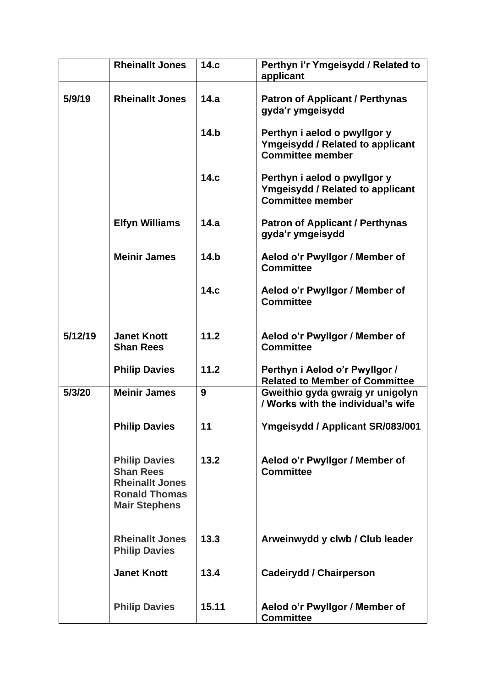|         | <b>Rheinallt Jones</b>                                                                                             | 14.c  | Perthyn i'r Ymgeisydd / Related to<br>applicant                                                    |
|---------|--------------------------------------------------------------------------------------------------------------------|-------|----------------------------------------------------------------------------------------------------|
| 5/9/19  | <b>Rheinallt Jones</b>                                                                                             | 14.a  | <b>Patron of Applicant / Perthynas</b><br>gyda'r ymgeisydd                                         |
|         |                                                                                                                    | 14.b  | Perthyn i aelod o pwyllgor y<br><b>Ymgeisydd / Related to applicant</b><br><b>Committee member</b> |
|         |                                                                                                                    | 14.c  | Perthyn i aelod o pwyllgor y<br><b>Ymgeisydd / Related to applicant</b><br><b>Committee member</b> |
|         | <b>Elfyn Williams</b>                                                                                              | 14.a  | <b>Patron of Applicant / Perthynas</b><br>gyda'r ymgeisydd                                         |
|         | <b>Meinir James</b>                                                                                                | 14.b  | Aelod o'r Pwyllgor / Member of<br><b>Committee</b>                                                 |
|         |                                                                                                                    | 14.c  | Aelod o'r Pwyllgor / Member of<br><b>Committee</b>                                                 |
| 5/12/19 | <b>Janet Knott</b><br><b>Shan Rees</b>                                                                             | 11.2  | Aelod o'r Pwyllgor / Member of<br><b>Committee</b>                                                 |
|         | <b>Philip Davies</b>                                                                                               | 11.2  | Perthyn i Aelod o'r Pwyllgor /<br><b>Related to Member of Committee</b>                            |
| 5/3/20  | <b>Meinir James</b>                                                                                                | 9     | Gweithio gyda gwraig yr unigolyn<br>/ Works with the individual's wife                             |
|         | <b>Philip Davies</b>                                                                                               | 11    | Ymgeisydd / Applicant SR/083/001                                                                   |
|         | <b>Philip Davies</b><br><b>Shan Rees</b><br><b>Rheinallt Jones</b><br><b>Ronald Thomas</b><br><b>Mair Stephens</b> | 13.2  | Aelod o'r Pwyllgor / Member of<br><b>Committee</b>                                                 |
|         | <b>Rheinallt Jones</b><br><b>Philip Davies</b>                                                                     | 13.3  | Arweinwydd y clwb / Club leader                                                                    |
|         | <b>Janet Knott</b>                                                                                                 | 13.4  | <b>Cadeirydd / Chairperson</b>                                                                     |
|         | <b>Philip Davies</b>                                                                                               | 15.11 | Aelod o'r Pwyllgor / Member of<br><b>Committee</b>                                                 |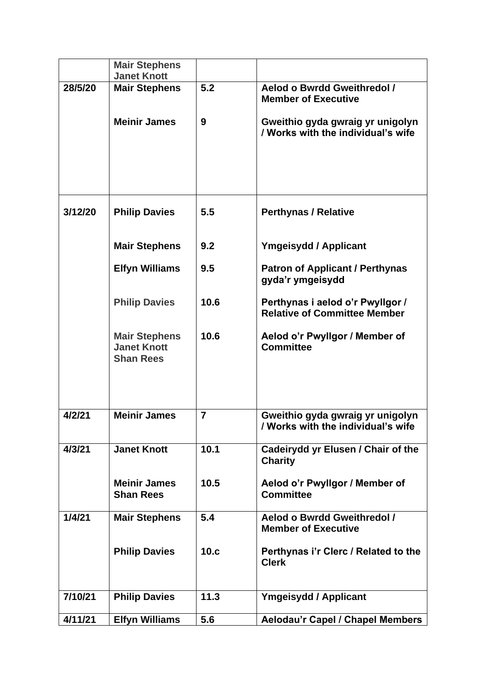|         | <b>Mair Stephens</b>                                           |                |                                                                         |
|---------|----------------------------------------------------------------|----------------|-------------------------------------------------------------------------|
|         | <b>Janet Knott</b>                                             |                |                                                                         |
| 28/5/20 | <b>Mair Stephens</b>                                           | 5.2            | Aelod o Bwrdd Gweithredol /<br><b>Member of Executive</b>               |
|         | <b>Meinir James</b>                                            | 9              | Gweithio gyda gwraig yr unigolyn<br>/ Works with the individual's wife  |
| 3/12/20 | <b>Philip Davies</b>                                           | 5.5            | <b>Perthynas / Relative</b>                                             |
|         | <b>Mair Stephens</b>                                           | 9.2            | <b>Ymgeisydd / Applicant</b>                                            |
|         | <b>Elfyn Williams</b>                                          | 9.5            | <b>Patron of Applicant / Perthynas</b><br>gyda'r ymgeisydd              |
|         | <b>Philip Davies</b>                                           | 10.6           | Perthynas i aelod o'r Pwyllgor /<br><b>Relative of Committee Member</b> |
|         | <b>Mair Stephens</b><br><b>Janet Knott</b><br><b>Shan Rees</b> | 10.6           | Aelod o'r Pwyllgor / Member of<br><b>Committee</b>                      |
| 4/2/21  | <b>Meinir James</b>                                            | $\overline{7}$ | Gweithio gyda gwraig yr unigolyn<br>/ Works with the individual's wife  |
| 4/3/21  | <b>Janet Knott</b>                                             | 10.1           | Cadeirydd yr Elusen / Chair of the<br><b>Charity</b>                    |
|         | <b>Meinir James</b><br><b>Shan Rees</b>                        | 10.5           | Aelod o'r Pwyllgor / Member of<br><b>Committee</b>                      |
| 1/4/21  | <b>Mair Stephens</b>                                           | 5.4            | Aelod o Bwrdd Gweithredol /<br><b>Member of Executive</b>               |
|         | <b>Philip Davies</b>                                           | 10.c           | Perthynas i'r Clerc / Related to the<br><b>Clerk</b>                    |
| 7/10/21 | <b>Philip Davies</b>                                           | 11.3           | <b>Ymgeisydd / Applicant</b>                                            |
| 4/11/21 | <b>Elfyn Williams</b>                                          | 5.6            | <b>Aelodau'r Capel / Chapel Members</b>                                 |